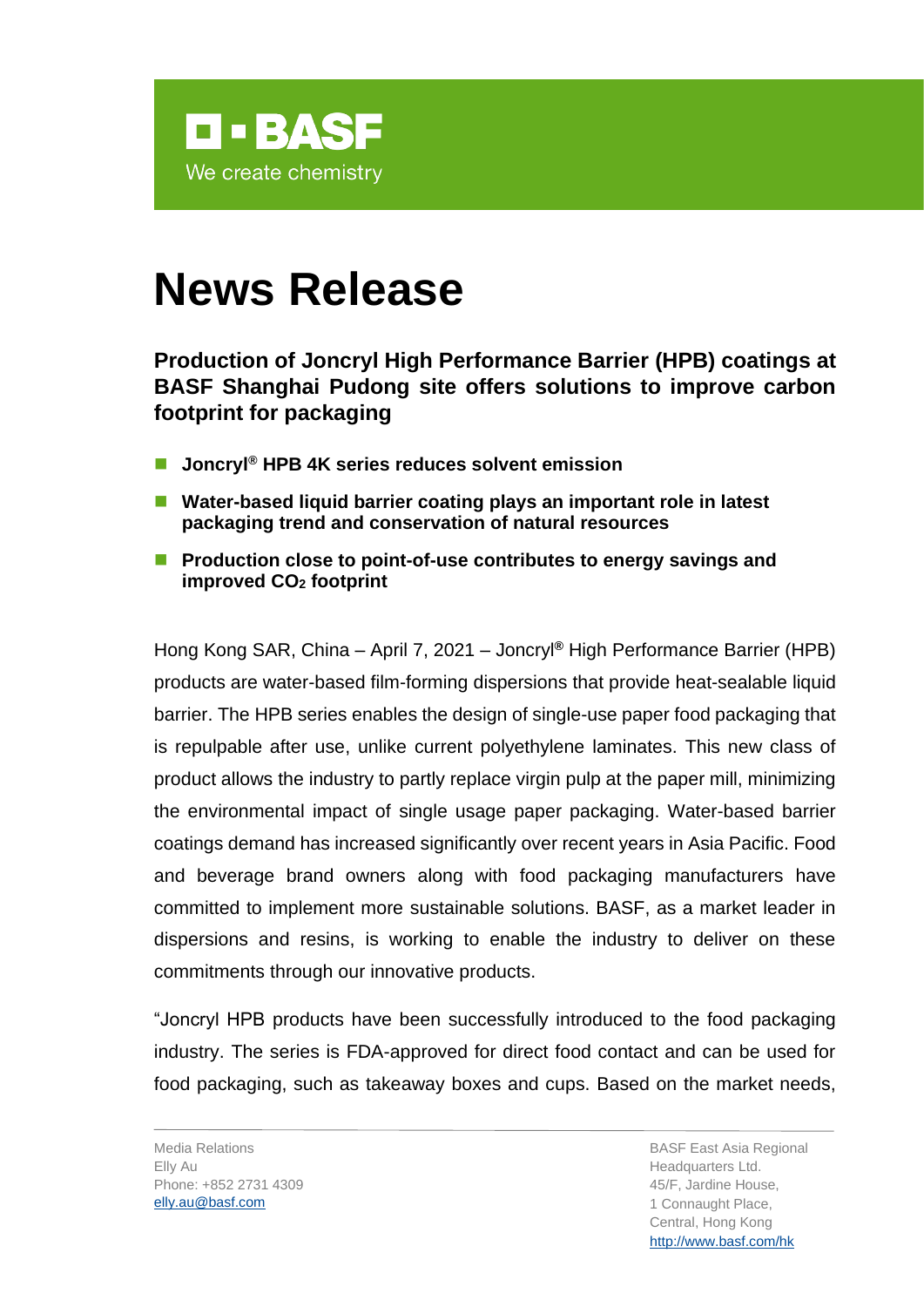

## **News Release**

**Production of Joncryl High Performance Barrier (HPB) coatings at BASF Shanghai Pudong site offers solutions to improve carbon footprint for packaging**

- ◼ **Joncryl® HPB 4K series reduces solvent emission**
- Water-based liquid barrier coating plays an important role in latest **packaging trend and conservation of natural resources**
- Production close to point-of-use contributes to energy savings and **improved CO<sup>2</sup> footprint**

Hong Kong SAR, China – April 7, 2021 – Joncryl**®** High Performance Barrier (HPB) products are water-based film-forming dispersions that provide heat-sealable liquid barrier. The HPB series enables the design of single-use paper food packaging that is repulpable after use, unlike current polyethylene laminates. This new class of product allows the industry to partly replace virgin pulp at the paper mill, minimizing the environmental impact of single usage paper packaging. Water-based barrier coatings demand has increased significantly over recent years in Asia Pacific. Food and beverage brand owners along with food packaging manufacturers have committed to implement more sustainable solutions. BASF, as a market leader in dispersions and resins, is working to enable the industry to deliver on these commitments through our innovative products.

"Joncryl HPB products have been successfully introduced to the food packaging industry. The series is FDA-approved for direct food contact and can be used for food packaging, such as takeaway boxes and cups. Based on the market needs,